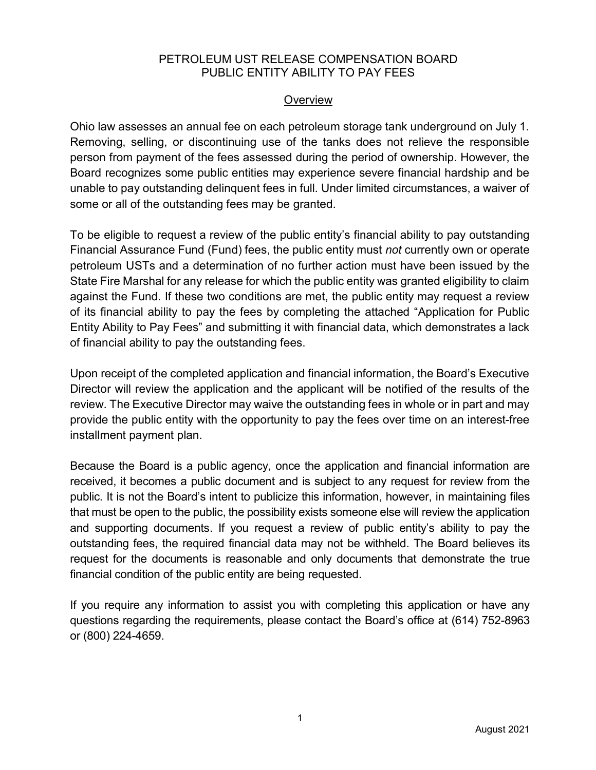### PETROLEUM UST RELEASE COMPENSATION BOARD PUBLIC ENTITY ABILITY TO PAY FEES

## **Overview**

Ohio law assesses an annual fee on each petroleum storage tank underground on July 1. Removing, selling, or discontinuing use of the tanks does not relieve the responsible person from payment of the fees assessed during the period of ownership. However, the Board recognizes some public entities may experience severe financial hardship and be unable to pay outstanding delinquent fees in full. Under limited circumstances, a waiver of some or all of the outstanding fees may be granted.

To be eligible to request a review of the public entity's financial ability to pay outstanding Financial Assurance Fund (Fund) fees, the public entity must not currently own or operate petroleum USTs and a determination of no further action must have been issued by the State Fire Marshal for any release for which the public entity was granted eligibility to claim against the Fund. If these two conditions are met, the public entity may request a review of its financial ability to pay the fees by completing the attached "Application for Public Entity Ability to Pay Fees" and submitting it with financial data, which demonstrates a lack of financial ability to pay the outstanding fees.

Upon receipt of the completed application and financial information, the Board's Executive Director will review the application and the applicant will be notified of the results of the review. The Executive Director may waive the outstanding fees in whole or in part and may provide the public entity with the opportunity to pay the fees over time on an interest-free installment payment plan.

Because the Board is a public agency, once the application and financial information are received, it becomes a public document and is subject to any request for review from the public. It is not the Board's intent to publicize this information, however, in maintaining files that must be open to the public, the possibility exists someone else will review the application and supporting documents. If you request a review of public entity's ability to pay the outstanding fees, the required financial data may not be withheld. The Board believes its request for the documents is reasonable and only documents that demonstrate the true financial condition of the public entity are being requested.

If you require any information to assist you with completing this application or have any questions regarding the requirements, please contact the Board's office at (614) 752-8963 or (800) 224-4659.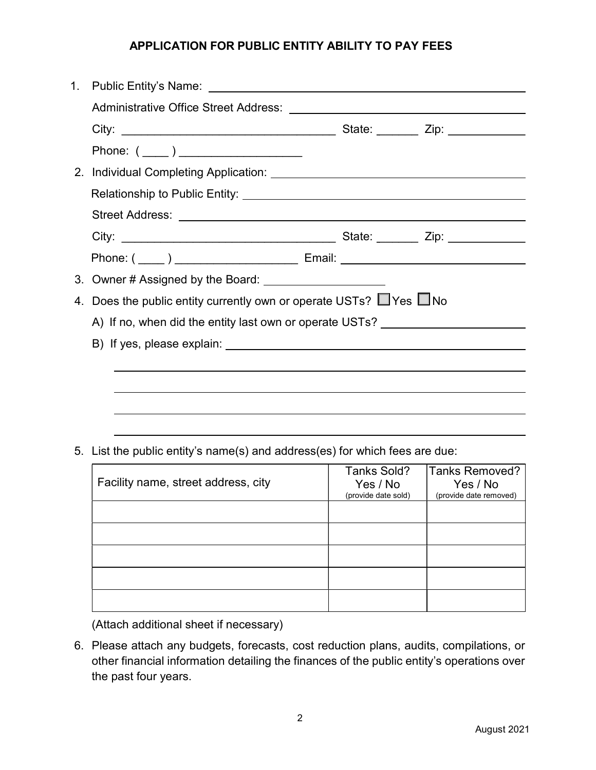## APPLICATION FOR PUBLIC ENTITY ABILITY TO PAY FEES

| Phone: (_____ ) ______________________                                           |  |
|----------------------------------------------------------------------------------|--|
|                                                                                  |  |
|                                                                                  |  |
|                                                                                  |  |
|                                                                                  |  |
| Phone: ( ____ ) _______________________ Email: _________________________________ |  |
|                                                                                  |  |
| 4. Does the public entity currently own or operate USTs? UYes UNo                |  |
| A) If no, when did the entity last own or operate USTs?                          |  |
|                                                                                  |  |
|                                                                                  |  |
|                                                                                  |  |
|                                                                                  |  |
|                                                                                  |  |

5. List the public entity's name(s) and address(es) for which fees are due:

| Facility name, street address, city | Tanks Sold?<br>Yes / No<br>(provide date sold) | Tanks Removed?<br>Yes / No<br>(provide date removed) |
|-------------------------------------|------------------------------------------------|------------------------------------------------------|
|                                     |                                                |                                                      |
|                                     |                                                |                                                      |
|                                     |                                                |                                                      |
|                                     |                                                |                                                      |
|                                     |                                                |                                                      |

(Attach additional sheet if necessary)

6. Please attach any budgets, forecasts, cost reduction plans, audits, compilations, or other financial information detailing the finances of the public entity's operations over the past four years.